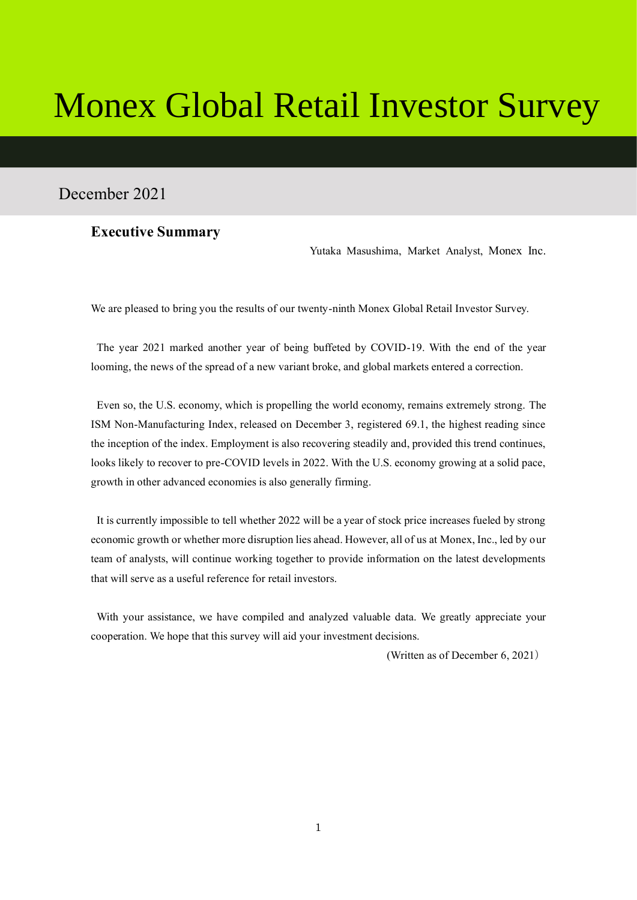# Monex Global Retail Investor Survey

# December 2021

## **Executive Summary**

Yutaka Masushima, Market Analyst, Monex Inc.

We are pleased to bring you the results of our twenty-ninth Monex Global Retail Investor Survey.

The year 2021 marked another year of being buffeted by COVID-19. With the end of the year looming, the news of the spread of a new variant broke, and global markets entered a correction.

Even so, the U.S. economy, which is propelling the world economy, remains extremely strong. The ISM Non-Manufacturing Index, released on December 3, registered 69.1, the highest reading since the inception of the index. Employment is also recovering steadily and, provided this trend continues, looks likely to recover to pre-COVID levels in 2022. With the U.S. economy growing at a solid pace, growth in other advanced economies is also generally firming.

It is currently impossible to tell whether 2022 will be a year of stock price increases fueled by strong economic growth or whether more disruption lies ahead. However, all of us at Monex, Inc., led by our team of analysts, will continue working together to provide information on the latest developments that will serve as a useful reference for retail investors.

With your assistance, we have compiled and analyzed valuable data. We greatly appreciate your cooperation. We hope that this survey will aid your investment decisions.

(Written as of December 6, 2021)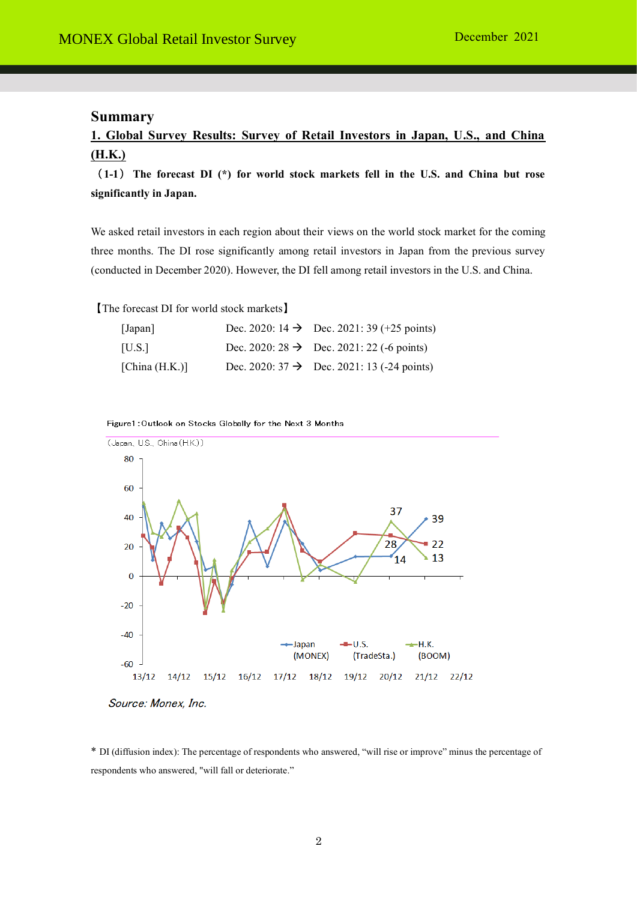## **Summary**

# **1. Global Survey Results: Survey of Retail Investors in Japan, U.S., and China (H.K.)**

( **1-1**) **The forecast DI (\*) for world stock markets fell in the U.S. and China but rose significantly in Japan.**

We asked retail investors in each region about their views on the world stock market for the coming three months. The DI rose significantly among retail investors in Japan from the previous survey (conducted in December 2020). However, the DI fell among retail investors in the U.S. and China.

【The forecast DI for world stock markets】

| [Japan]           | Dec. 2020: 14 $\rightarrow$ Dec. 2021: 39 (+25 points) |
|-------------------|--------------------------------------------------------|
| [U.S.]            | Dec. 2020: $28 \rightarrow$ Dec. 2021: 22 (-6 points)  |
| [China $(H.K.)$ ] | Dec. 2020: $37 \rightarrow$ Dec. 2021: 13 (-24 points) |

Figure1: Outlook on Stocks Globally for the Next 3 Months



Source: Monex, Inc.

\* DI (diffusion index): The percentage of respondents who answered, "will rise or improve" minus the percentage of respondents who answered, "will fall or deteriorate."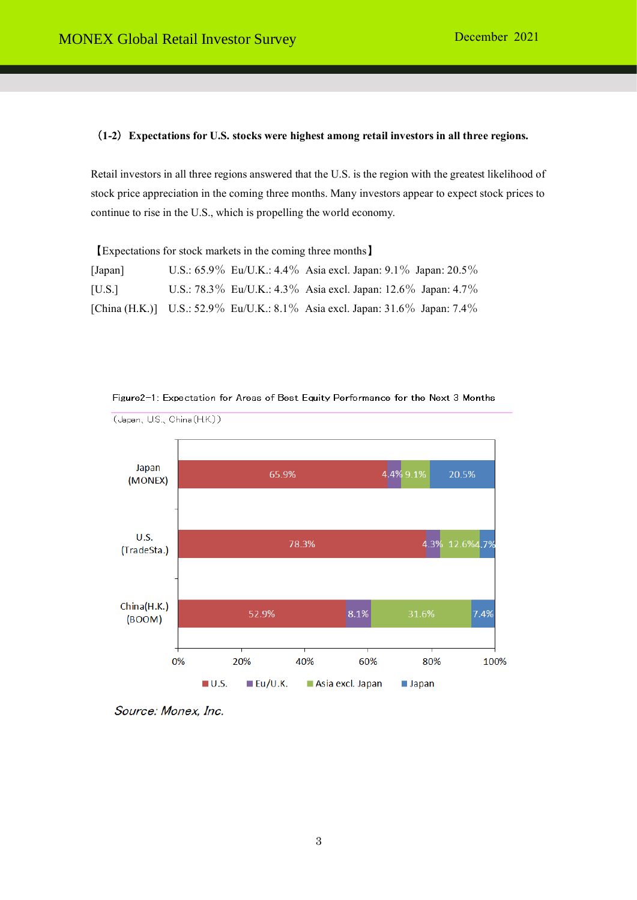### (**1-2**)**Expectations for U.S. stocks were highest among retail investors in all three regions.**

Retail investors in all three regions answered that the U.S. is the region with the greatest likelihood of stock price appreciation in the coming three months. Many investors appear to expect stock prices to continue to rise in the U.S., which is propelling the world economy.

【Expectations for stock markets in the coming three months】

| [Japan] |  | U.S.: $65.9\%$ Eu/U.K.: $4.4\%$ Asia excl. Japan: $9.1\%$ Japan: $20.5\%$    |
|---------|--|------------------------------------------------------------------------------|
| [U.S.]  |  | U.S.: 78.3% Eu/U.K.: 4.3% Asia excl. Japan: 12.6% Japan: 4.7%                |
|         |  | [China (H.K.)] U.S.: 52.9% Eu/U.K.: 8.1% Asia excl. Japan: 31.6% Japan: 7.4% |



Figure2-1: Expectation for Areas of Best Equity Performance for the Next 3 Months

Source: Monex, Inc.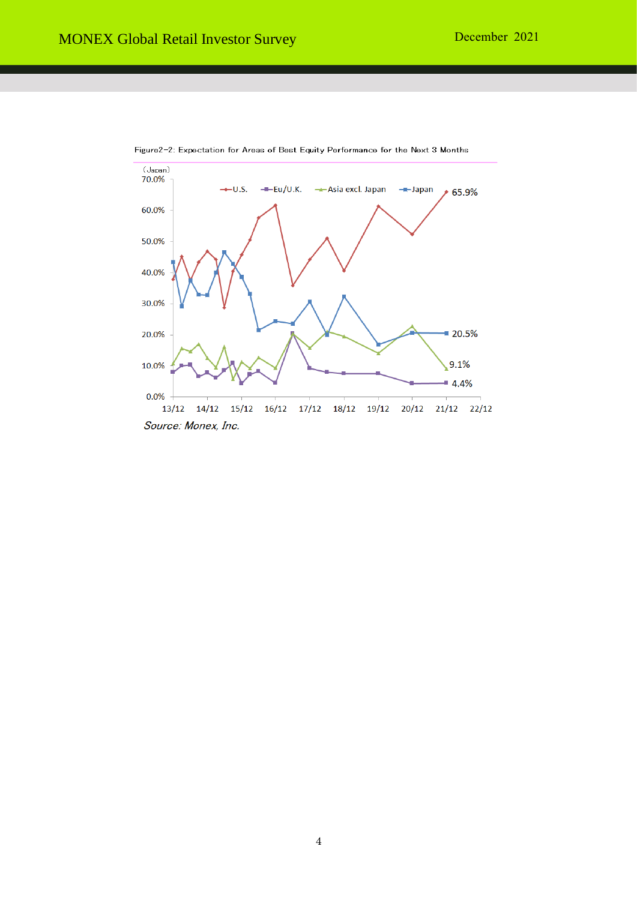

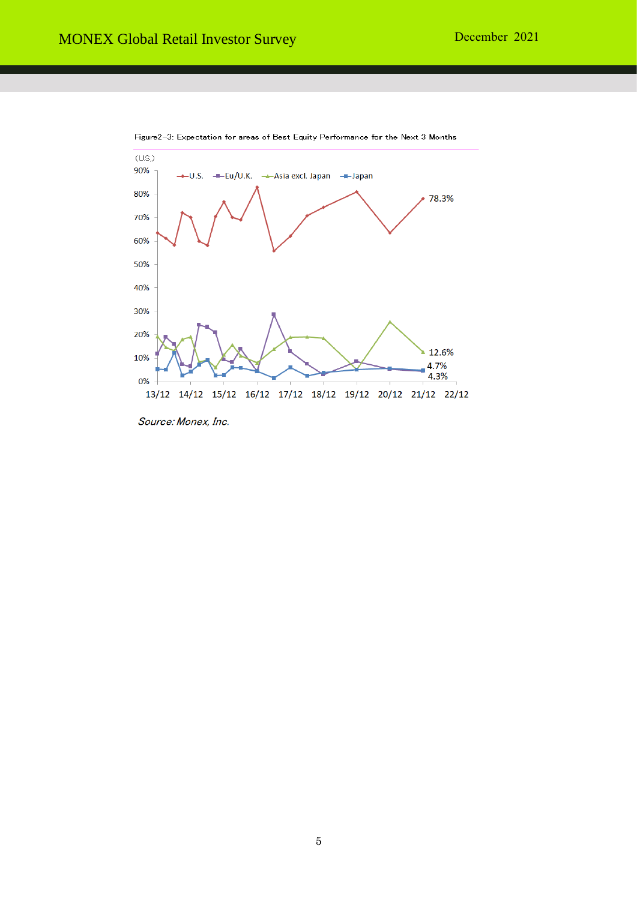

Figure2-3: Expectation for areas of Best Equity Performance for the Next 3 Months

Source: Monex, Inc.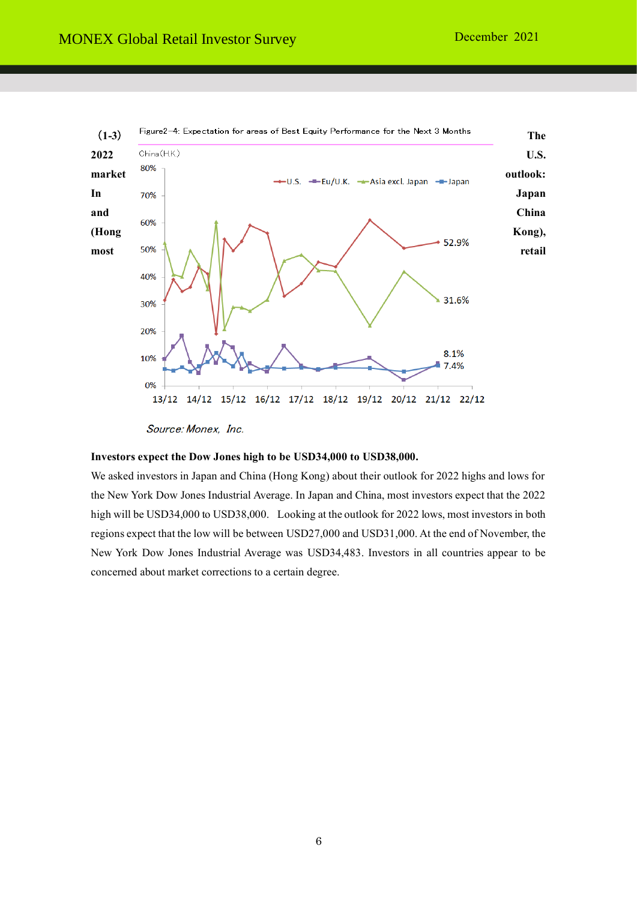

Source: Monex, Inc.

#### **Investors expect the Dow Jones high to be USD34,000 to USD38,000.**

We asked investors in Japan and China (Hong Kong) about their outlook for 2022 highs and lows for the New York Dow Jones Industrial Average. In Japan and China, most investors expect that the 2022 high will be USD34,000 to USD38,000. Looking at the outlook for 2022 lows, most investors in both regions expect that the low will be between USD27,000 and USD31,000. At the end of November, the New York Dow Jones Industrial Average was USD34,483. Investors in all countries appear to be concerned about market corrections to a certain degree.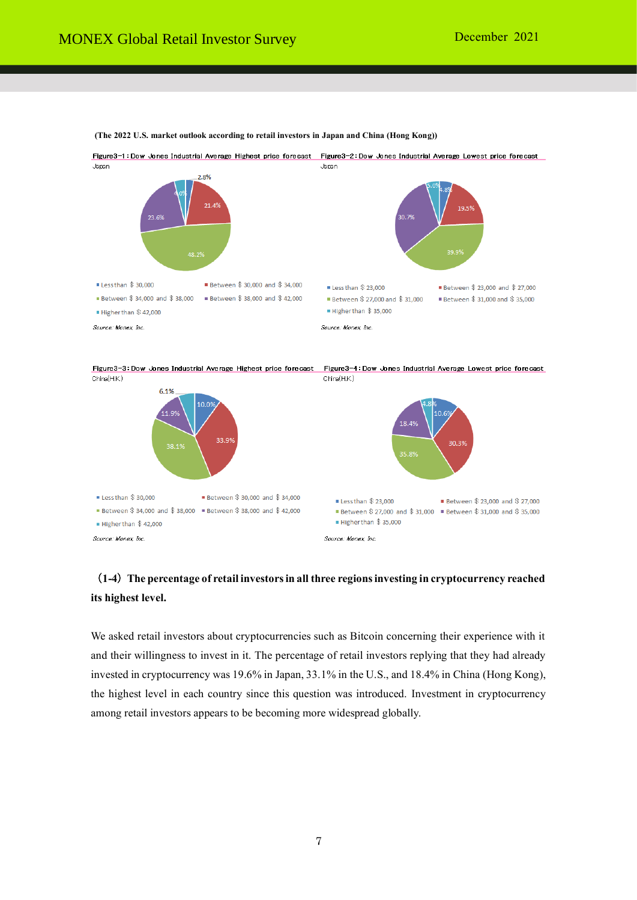Source: Monex Inc.



**(The 2022 U.S. market outlook according to retail investors in Japan and China (Hong Kong))**

# (**1-4**)**The percentage of retail investors in all three regions investing in cryptocurrency reached its highest level.**

Source: Monex Inc.

We asked retail investors about cryptocurrencies such as Bitcoin concerning their experience with it and their willingness to invest in it. The percentage of retail investors replying that they had already invested in cryptocurrency was 19.6% in Japan, 33.1% in the U.S., and 18.4% in China (Hong Kong), the highest level in each country since this question was introduced. Investment in cryptocurrency among retail investors appears to be becoming more widespread globally.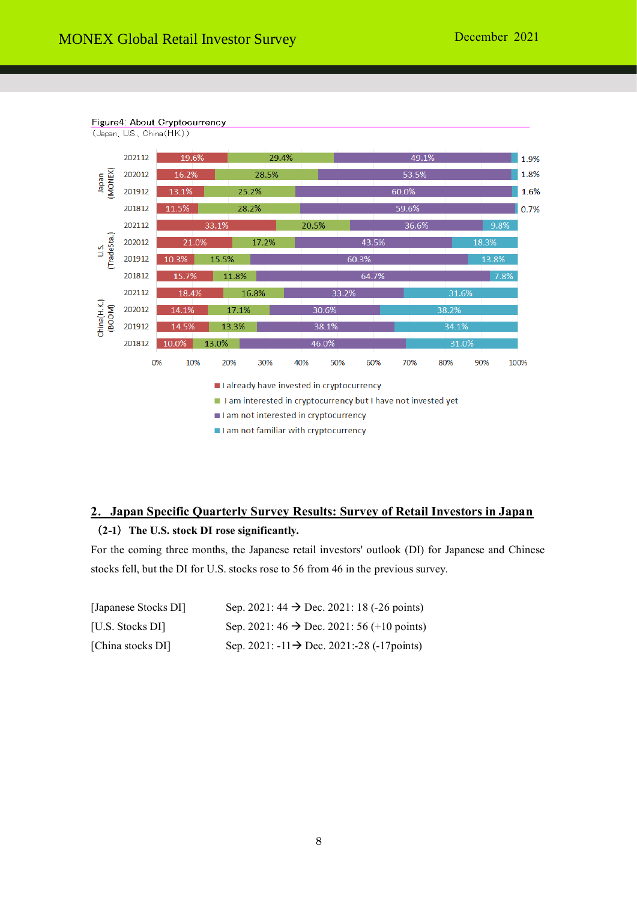

# **2**.**Japan Specific Quarterly Survey Results: Survey of Retail Investors in Japan** (**2-1**)**The U.S. stock DI rose significantly.**

For the coming three months, the Japanese retail investors' outlook (DI) for Japanese and Chinese stocks fell, but the DI for U.S. stocks rose to 56 from 46 in the previous survey.

| [Japanese Stocks DI] | Sep. 2021: $44 \rightarrow$ Dec. 2021: 18 (-26 points)      |
|----------------------|-------------------------------------------------------------|
| [U.S. Stocks DI]     | Sep. 2021: $46 \rightarrow$ Dec. 2021: 56 (+10 points)      |
| [China stocks DI]    | Sep. 2021: $-11 \rightarrow$ Dec. 2021: -28 ( $-17$ points) |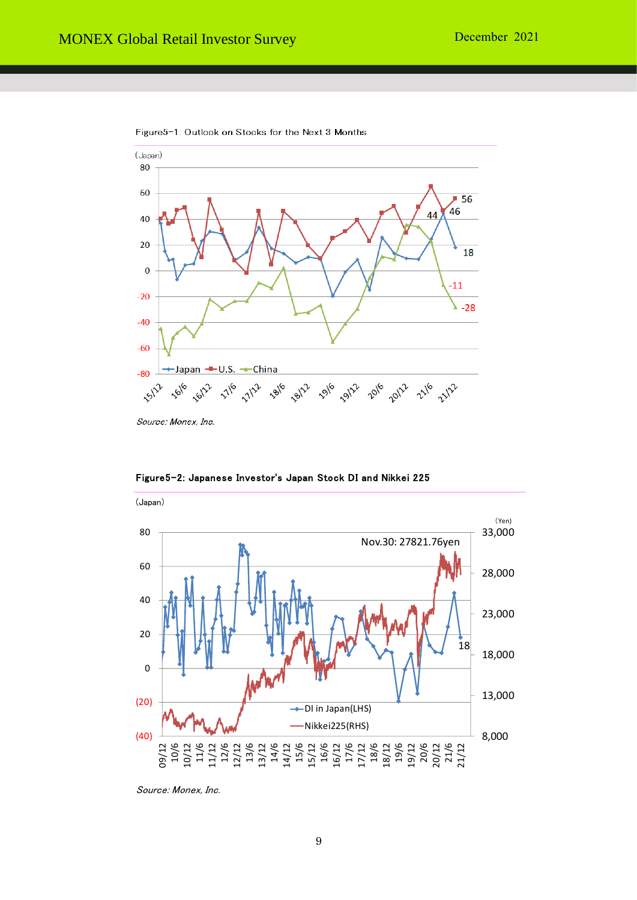

Figure5-1: Outlook on Stocks for the Next 3 Months

Source: Monex, Inc.



Figure5-2: Japanese Investor's Japan Stock DI and Nikkei 225

Source: Monex, Inc.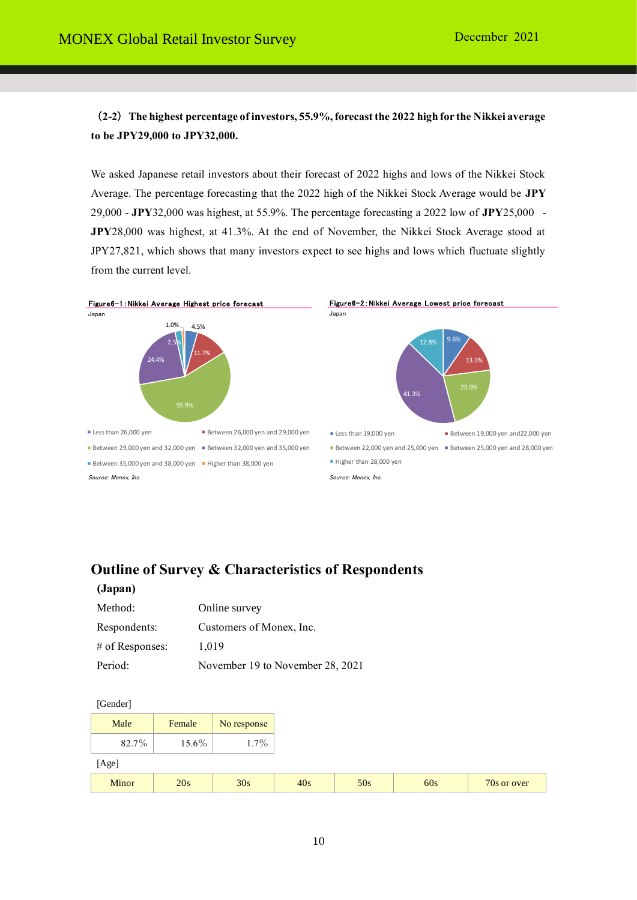(**2-2**)**The highest percentage of investors, 55.9%, forecast the 2022 high for the Nikkei average to be JPY29,000 to JPY32,000.**

We asked Japanese retail investors about their forecast of 2022 highs and lows of the Nikkei Stock Average. The percentage forecasting that the 2022 high of the Nikkei Stock Average would be **JPY** 29,000 - **JPY**32,000 was highest, at 55.9%. The percentage forecasting a 2022 low of **JPY**25,000 - **JPY**28,000 was highest, at 41.3%. At the end of November, the Nikkei Stock Average stood at JPY27,821, which shows that many investors expect to see highs and lows which fluctuate slightly from the current level.



# **Outline of Survey & Characteristics of Respondents**

| mя<br>-20 F<br>Π<br>л |  |
|-----------------------|--|
|-----------------------|--|

| Method:           | Online survey                    |
|-------------------|----------------------------------|
| Respondents:      | Customers of Monex, Inc.         |
| $#$ of Responses: | 1.019                            |
| Period:           | November 19 to November 28, 2021 |

[Gender]

| Male  | Female | No response |     |     |     |
|-------|--------|-------------|-----|-----|-----|
| 82.7% | 15.6%  | $1.7\%$     |     |     |     |
| [Age] |        |             |     |     |     |
| Minor | 20s    | 30s         | 40s | 50s | 60s |